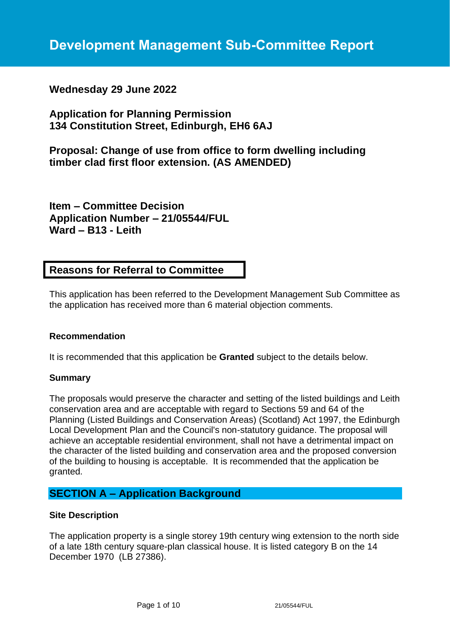# **Wednesday 29 June 2022**

**Application for Planning Permission 134 Constitution Street, Edinburgh, EH6 6AJ**

**Proposal: Change of use from office to form dwelling including timber clad first floor extension. (AS AMENDED)**

**Item – Committee Decision Application Number – 21/05544/FUL Ward – B13 - Leith**

# **Reasons for Referral to Committee**

This application has been referred to the Development Management Sub Committee as the application has received more than 6 material objection comments.

## **Recommendation**

It is recommended that this application be **Granted** subject to the details below.

#### **Summary**

The proposals would preserve the character and setting of the listed buildings and Leith conservation area and are acceptable with regard to Sections 59 and 64 of the Planning (Listed Buildings and Conservation Areas) (Scotland) Act 1997, the Edinburgh Local Development Plan and the Council's non-statutory guidance. The proposal will achieve an acceptable residential environment, shall not have a detrimental impact on the character of the listed building and conservation area and the proposed conversion of the building to housing is acceptable. It is recommended that the application be granted.

# **SECTION A – Application Background**

## **Site Description**

The application property is a single storey 19th century wing extension to the north side of a late 18th century square-plan classical house. It is listed category B on the 14 December 1970 (LB 27386).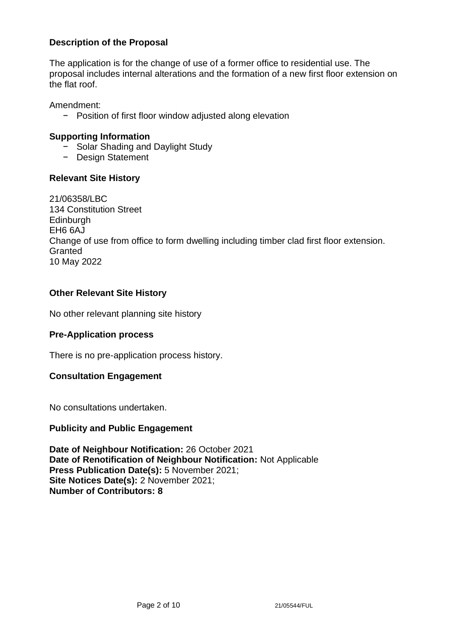# **Description of the Proposal**

The application is for the change of use of a former office to residential use. The proposal includes internal alterations and the formation of a new first floor extension on the flat roof.

Amendment:

− Position of first floor window adjusted along elevation

## **Supporting Information**

- − Solar Shading and Daylight Study
- − Design Statement

## **Relevant Site History**

21/06358/LBC 134 Constitution Street **Edinburgh** EH6 6AJ Change of use from office to form dwelling including timber clad first floor extension. **Granted** 10 May 2022

## **Other Relevant Site History**

No other relevant planning site history

## **Pre-Application process**

There is no pre-application process history.

## **Consultation Engagement**

No consultations undertaken.

## **Publicity and Public Engagement**

**Date of Neighbour Notification:** 26 October 2021 **Date of Renotification of Neighbour Notification:** Not Applicable **Press Publication Date(s):** 5 November 2021; **Site Notices Date(s):** 2 November 2021; **Number of Contributors: 8**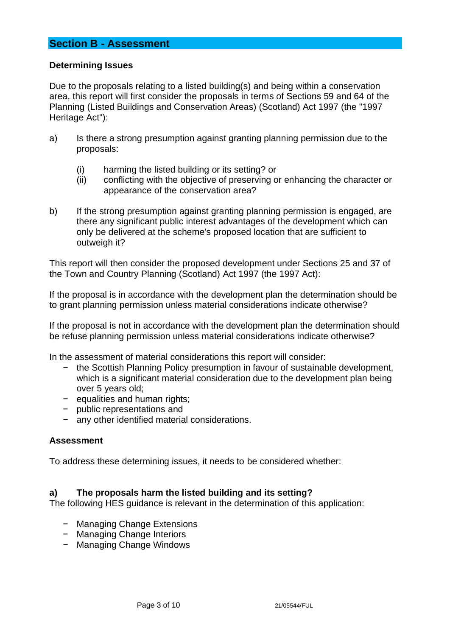# **Section B - Assessment**

#### **Determining Issues**

Due to the proposals relating to a listed building(s) and being within a conservation area, this report will first consider the proposals in terms of Sections 59 and 64 of the Planning (Listed Buildings and Conservation Areas) (Scotland) Act 1997 (the "1997 Heritage Act"):

- a) Is there a strong presumption against granting planning permission due to the proposals:
	- (i) harming the listed building or its setting? or
	- (ii) conflicting with the objective of preserving or enhancing the character or appearance of the conservation area?
- b) If the strong presumption against granting planning permission is engaged, are there any significant public interest advantages of the development which can only be delivered at the scheme's proposed location that are sufficient to outweigh it?

This report will then consider the proposed development under Sections 25 and 37 of the Town and Country Planning (Scotland) Act 1997 (the 1997 Act):

If the proposal is in accordance with the development plan the determination should be to grant planning permission unless material considerations indicate otherwise?

If the proposal is not in accordance with the development plan the determination should be refuse planning permission unless material considerations indicate otherwise?

In the assessment of material considerations this report will consider:

- − the Scottish Planning Policy presumption in favour of sustainable development, which is a significant material consideration due to the development plan being over 5 years old;
- − equalities and human rights;
- − public representations and
- any other identified material considerations.

#### **Assessment**

To address these determining issues, it needs to be considered whether:

#### **a) The proposals harm the listed building and its setting?**

The following HES guidance is relevant in the determination of this application:

- − Managing Change Extensions
- − Managing Change Interiors
- − Managing Change Windows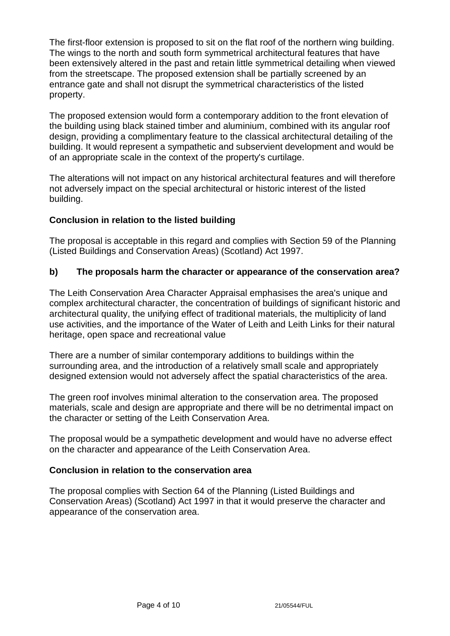The first-floor extension is proposed to sit on the flat roof of the northern wing building. The wings to the north and south form symmetrical architectural features that have been extensively altered in the past and retain little symmetrical detailing when viewed from the streetscape. The proposed extension shall be partially screened by an entrance gate and shall not disrupt the symmetrical characteristics of the listed property.

The proposed extension would form a contemporary addition to the front elevation of the building using black stained timber and aluminium, combined with its angular roof design, providing a complimentary feature to the classical architectural detailing of the building. It would represent a sympathetic and subservient development and would be of an appropriate scale in the context of the property's curtilage.

The alterations will not impact on any historical architectural features and will therefore not adversely impact on the special architectural or historic interest of the listed building.

# **Conclusion in relation to the listed building**

The proposal is acceptable in this regard and complies with Section 59 of the Planning (Listed Buildings and Conservation Areas) (Scotland) Act 1997.

# **b) The proposals harm the character or appearance of the conservation area?**

The Leith Conservation Area Character Appraisal emphasises the area's unique and complex architectural character, the concentration of buildings of significant historic and architectural quality, the unifying effect of traditional materials, the multiplicity of land use activities, and the importance of the Water of Leith and Leith Links for their natural heritage, open space and recreational value

There are a number of similar contemporary additions to buildings within the surrounding area, and the introduction of a relatively small scale and appropriately designed extension would not adversely affect the spatial characteristics of the area.

The green roof involves minimal alteration to the conservation area. The proposed materials, scale and design are appropriate and there will be no detrimental impact on the character or setting of the Leith Conservation Area.

The proposal would be a sympathetic development and would have no adverse effect on the character and appearance of the Leith Conservation Area.

# **Conclusion in relation to the conservation area**

The proposal complies with Section 64 of the Planning (Listed Buildings and Conservation Areas) (Scotland) Act 1997 in that it would preserve the character and appearance of the conservation area.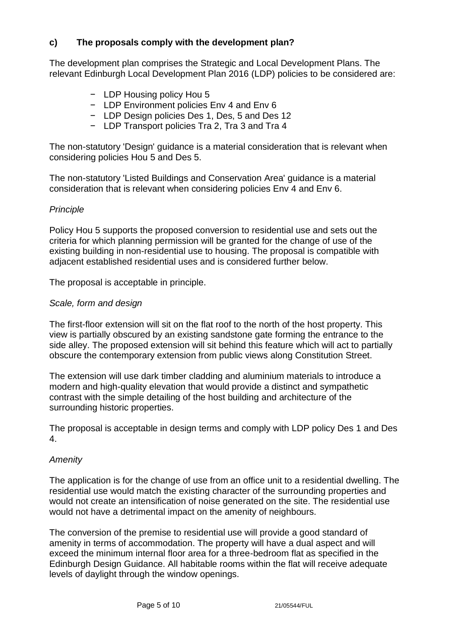# **c) The proposals comply with the development plan?**

The development plan comprises the Strategic and Local Development Plans. The relevant Edinburgh Local Development Plan 2016 (LDP) policies to be considered are:

- − LDP Housing policy Hou 5
- − LDP Environment policies Env 4 and Env 6
- − LDP Design policies Des 1, Des, 5 and Des 12
- − LDP Transport policies Tra 2, Tra 3 and Tra 4

The non-statutory 'Design' guidance is a material consideration that is relevant when considering policies Hou 5 and Des 5.

The non-statutory 'Listed Buildings and Conservation Area' guidance is a material consideration that is relevant when considering policies Env 4 and Env 6.

## *Principle*

Policy Hou 5 supports the proposed conversion to residential use and sets out the criteria for which planning permission will be granted for the change of use of the existing building in non-residential use to housing. The proposal is compatible with adjacent established residential uses and is considered further below.

The proposal is acceptable in principle.

## *Scale, form and design*

The first-floor extension will sit on the flat roof to the north of the host property. This view is partially obscured by an existing sandstone gate forming the entrance to the side alley. The proposed extension will sit behind this feature which will act to partially obscure the contemporary extension from public views along Constitution Street.

The extension will use dark timber cladding and aluminium materials to introduce a modern and high-quality elevation that would provide a distinct and sympathetic contrast with the simple detailing of the host building and architecture of the surrounding historic properties.

The proposal is acceptable in design terms and comply with LDP policy Des 1 and Des 4.

# *Amenity*

The application is for the change of use from an office unit to a residential dwelling. The residential use would match the existing character of the surrounding properties and would not create an intensification of noise generated on the site. The residential use would not have a detrimental impact on the amenity of neighbours.

The conversion of the premise to residential use will provide a good standard of amenity in terms of accommodation. The property will have a dual aspect and will exceed the minimum internal floor area for a three-bedroom flat as specified in the Edinburgh Design Guidance. All habitable rooms within the flat will receive adequate levels of daylight through the window openings.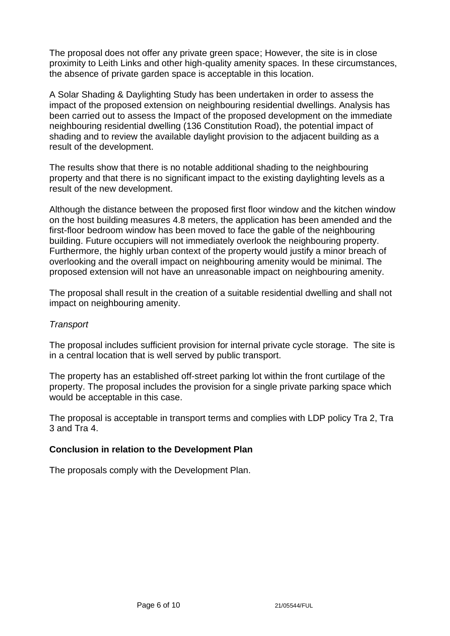The proposal does not offer any private green space; However, the site is in close proximity to Leith Links and other high-quality amenity spaces. In these circumstances, the absence of private garden space is acceptable in this location.

A Solar Shading & Daylighting Study has been undertaken in order to assess the impact of the proposed extension on neighbouring residential dwellings. Analysis has been carried out to assess the Impact of the proposed development on the immediate neighbouring residential dwelling (136 Constitution Road), the potential impact of shading and to review the available daylight provision to the adjacent building as a result of the development.

The results show that there is no notable additional shading to the neighbouring property and that there is no significant impact to the existing daylighting levels as a result of the new development.

Although the distance between the proposed first floor window and the kitchen window on the host building measures 4.8 meters, the application has been amended and the first-floor bedroom window has been moved to face the gable of the neighbouring building. Future occupiers will not immediately overlook the neighbouring property. Furthermore, the highly urban context of the property would justify a minor breach of overlooking and the overall impact on neighbouring amenity would be minimal. The proposed extension will not have an unreasonable impact on neighbouring amenity.

The proposal shall result in the creation of a suitable residential dwelling and shall not impact on neighbouring amenity.

#### *Transport*

The proposal includes sufficient provision for internal private cycle storage. The site is in a central location that is well served by public transport.

The property has an established off-street parking lot within the front curtilage of the property. The proposal includes the provision for a single private parking space which would be acceptable in this case.

The proposal is acceptable in transport terms and complies with LDP policy Tra 2, Tra 3 and Tra 4.

## **Conclusion in relation to the Development Plan**

The proposals comply with the Development Plan.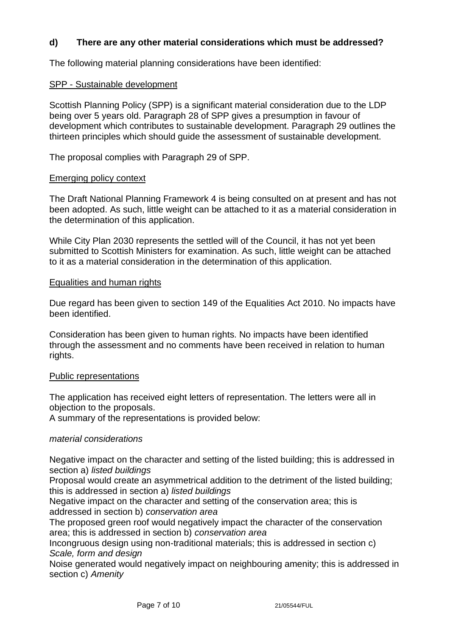# **d) There are any other material considerations which must be addressed?**

The following material planning considerations have been identified:

#### SPP - Sustainable development

Scottish Planning Policy (SPP) is a significant material consideration due to the LDP being over 5 years old. Paragraph 28 of SPP gives a presumption in favour of development which contributes to sustainable development. Paragraph 29 outlines the thirteen principles which should guide the assessment of sustainable development.

The proposal complies with Paragraph 29 of SPP.

#### Emerging policy context

The Draft National Planning Framework 4 is being consulted on at present and has not been adopted. As such, little weight can be attached to it as a material consideration in the determination of this application.

While City Plan 2030 represents the settled will of the Council, it has not yet been submitted to Scottish Ministers for examination. As such, little weight can be attached to it as a material consideration in the determination of this application.

#### Equalities and human rights

Due regard has been given to section 149 of the Equalities Act 2010. No impacts have been identified.

Consideration has been given to human rights. No impacts have been identified through the assessment and no comments have been received in relation to human rights.

#### Public representations

The application has received eight letters of representation. The letters were all in objection to the proposals.

A summary of the representations is provided below:

#### *material considerations*

Negative impact on the character and setting of the listed building; this is addressed in section a) *listed buildings*

Proposal would create an asymmetrical addition to the detriment of the listed building; this is addressed in section a) *listed buildings*

Negative impact on the character and setting of the conservation area; this is addressed in section b) *conservation area*

The proposed green roof would negatively impact the character of the conservation area; this is addressed in section b) *conservation area*

Incongruous design using non-traditional materials; this is addressed in section c) *Scale, form and design*

Noise generated would negatively impact on neighbouring amenity; this is addressed in section c) *Amenity*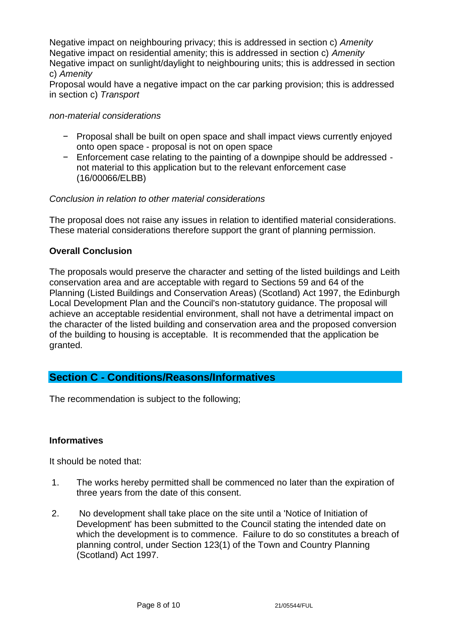Negative impact on neighbouring privacy; this is addressed in section c) *Amenity* Negative impact on residential amenity; this is addressed in section c) *Amenity* Negative impact on sunlight/daylight to neighbouring units; this is addressed in section c) *Amenity*

Proposal would have a negative impact on the car parking provision; this is addressed in section c) *Transport*

#### *non-material considerations*

- − Proposal shall be built on open space and shall impact views currently enjoyed onto open space - proposal is not on open space
- − Enforcement case relating to the painting of a downpipe should be addressed not material to this application but to the relevant enforcement case (16/00066/ELBB)

#### *Conclusion in relation to other material considerations*

The proposal does not raise any issues in relation to identified material considerations. These material considerations therefore support the grant of planning permission.

## **Overall Conclusion**

The proposals would preserve the character and setting of the listed buildings and Leith conservation area and are acceptable with regard to Sections 59 and 64 of the Planning (Listed Buildings and Conservation Areas) (Scotland) Act 1997, the Edinburgh Local Development Plan and the Council's non-statutory guidance. The proposal will achieve an acceptable residential environment, shall not have a detrimental impact on the character of the listed building and conservation area and the proposed conversion of the building to housing is acceptable. It is recommended that the application be granted.

# **Section C - Conditions/Reasons/Informatives**

The recommendation is subject to the following;

## **Informatives**

It should be noted that:

- 1. The works hereby permitted shall be commenced no later than the expiration of three years from the date of this consent.
- 2. No development shall take place on the site until a 'Notice of Initiation of Development' has been submitted to the Council stating the intended date on which the development is to commence. Failure to do so constitutes a breach of planning control, under Section 123(1) of the Town and Country Planning (Scotland) Act 1997.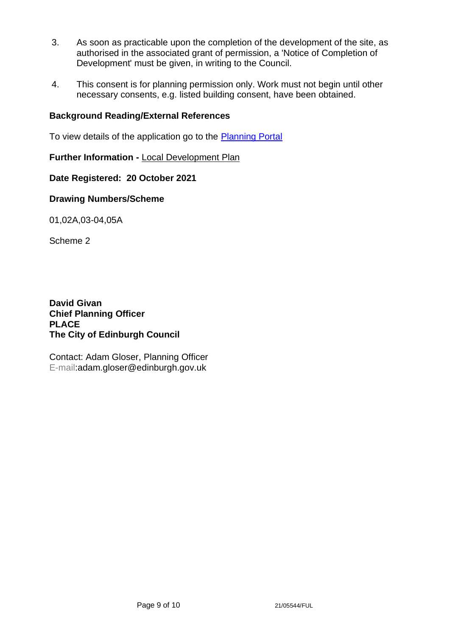- 3. As soon as practicable upon the completion of the development of the site, as authorised in the associated grant of permission, a 'Notice of Completion of Development' must be given, in writing to the Council.
- 4. This consent is for planning permission only. Work must not begin until other necessary consents, e.g. listed building consent, have been obtained.

# **Background Reading/External References**

To view details of the application go to the [Planning Portal](https://citydev-portal.edinburgh.gov.uk/idoxpa-web/applicationDetails.do?activeTab=summary&keyVal=R19VXGEWJCH00)

**Further Information -** [Local Development Plan](https://www.edinburgh.gov.uk/local-development-plan-guidance-1/edinburgh-local-development-plan/1)

**Date Registered: 20 October 2021**

**Drawing Numbers/Scheme**

01,02A,03-04,05A

Scheme 2

**David Givan Chief Planning Officer PLACE The City of Edinburgh Council**

Contact: Adam Gloser, Planning Officer E-mail:adam.gloser@edinburgh.gov.uk